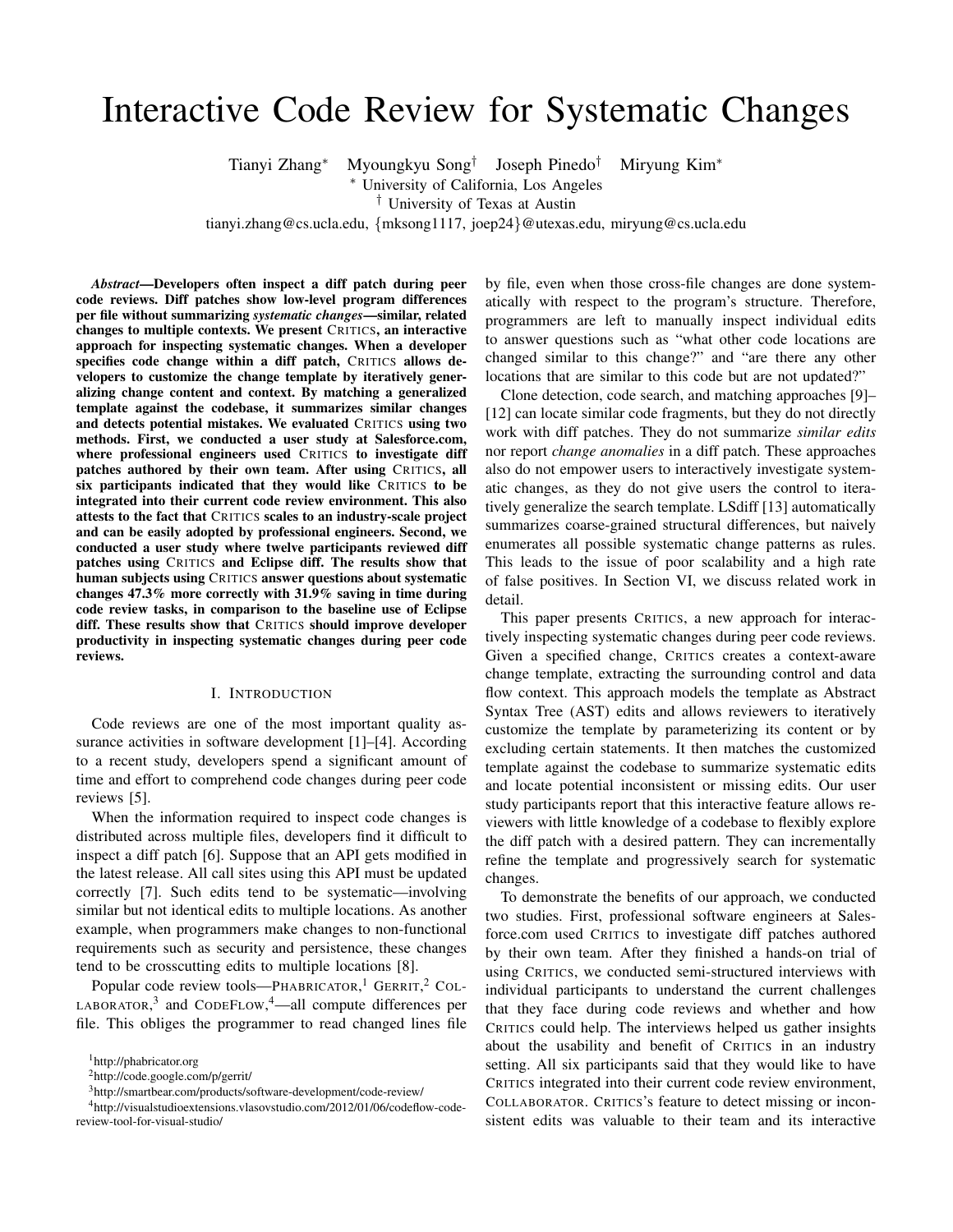# Interactive Code Review for Systematic Changes

Tianyi Zhang<sup>∗</sup> Myoungkyu Song†

Joseph Pinedo† Miryung Kim<sup>∗</sup>

<sup>∗</sup> University of California, Los Angeles

† University of Texas at Austin

tianyi.zhang@cs.ucla.edu, {mksong1117, joep24}@utexas.edu, miryung@cs.ucla.edu

*Abstract*—Developers often inspect a diff patch during peer code reviews. Diff patches show low-level program differences per file without summarizing *systematic changes*—similar, related changes to multiple contexts. We present CRITICS, an interactive approach for inspecting systematic changes. When a developer specifies code change within a diff patch, CRITICS allows developers to customize the change template by iteratively generalizing change content and context. By matching a generalized template against the codebase, it summarizes similar changes and detects potential mistakes. We evaluated CRITICS using two methods. First, we conducted a user study at Salesforce.com, where professional engineers used CRITICS to investigate diff patches authored by their own team. After using CRITICS, all six participants indicated that they would like CRITICS to be integrated into their current code review environment. This also attests to the fact that CRITICS scales to an industry-scale project and can be easily adopted by professional engineers. Second, we conducted a user study where twelve participants reviewed diff patches using CRITICS and Eclipse diff. The results show that human subjects using CRITICS answer questions about systematic changes 47.3% more correctly with 31.9% saving in time during code review tasks, in comparison to the baseline use of Eclipse diff. These results show that CRITICS should improve developer productivity in inspecting systematic changes during peer code reviews.

## I. INTRODUCTION

Code reviews are one of the most important quality assurance activities in software development [1]–[4]. According to a recent study, developers spend a significant amount of time and effort to comprehend code changes during peer code reviews [5].

When the information required to inspect code changes is distributed across multiple files, developers find it difficult to inspect a diff patch [6]. Suppose that an API gets modified in the latest release. All call sites using this API must be updated correctly [7]. Such edits tend to be systematic—involving similar but not identical edits to multiple locations. As another example, when programmers make changes to non-functional requirements such as security and persistence, these changes tend to be crosscutting edits to multiple locations [8].

Popular code review tools—PHABRICATOR,<sup>1</sup> GERRIT,<sup>2</sup> COL-LABORATOR,<sup>3</sup> and CODEFLOW,<sup>4</sup>—all compute differences per file. This obliges the programmer to read changed lines file

<sup>2</sup>http://code.google.com/p/gerrit/

by file, even when those cross-file changes are done systematically with respect to the program's structure. Therefore, programmers are left to manually inspect individual edits to answer questions such as "what other code locations are changed similar to this change?" and "are there any other locations that are similar to this code but are not updated?"

Clone detection, code search, and matching approaches [9]– [12] can locate similar code fragments, but they do not directly work with diff patches. They do not summarize *similar edits* nor report *change anomalies* in a diff patch. These approaches also do not empower users to interactively investigate systematic changes, as they do not give users the control to iteratively generalize the search template. LSdiff [13] automatically summarizes coarse-grained structural differences, but naively enumerates all possible systematic change patterns as rules. This leads to the issue of poor scalability and a high rate of false positives. In Section VI, we discuss related work in detail.

This paper presents CRITICS, a new approach for interactively inspecting systematic changes during peer code reviews. Given a specified change, CRITICS creates a context-aware change template, extracting the surrounding control and data flow context. This approach models the template as Abstract Syntax Tree (AST) edits and allows reviewers to iteratively customize the template by parameterizing its content or by excluding certain statements. It then matches the customized template against the codebase to summarize systematic edits and locate potential inconsistent or missing edits. Our user study participants report that this interactive feature allows reviewers with little knowledge of a codebase to flexibly explore the diff patch with a desired pattern. They can incrementally refine the template and progressively search for systematic changes.

To demonstrate the benefits of our approach, we conducted two studies. First, professional software engineers at Salesforce.com used CRITICS to investigate diff patches authored by their own team. After they finished a hands-on trial of using CRITICS, we conducted semi-structured interviews with individual participants to understand the current challenges that they face during code reviews and whether and how CRITICS could help. The interviews helped us gather insights about the usability and benefit of CRITICS in an industry setting. All six participants said that they would like to have CRITICS integrated into their current code review environment, COLLABORATOR. CRITICS's feature to detect missing or inconsistent edits was valuable to their team and its interactive

<sup>1</sup>http://phabricator.org

<sup>3</sup>http://smartbear.com/products/software-development/code-review/

<sup>4</sup>http://visualstudioextensions.vlasovstudio.com/2012/01/06/codeflow-codereview-tool-for-visual-studio/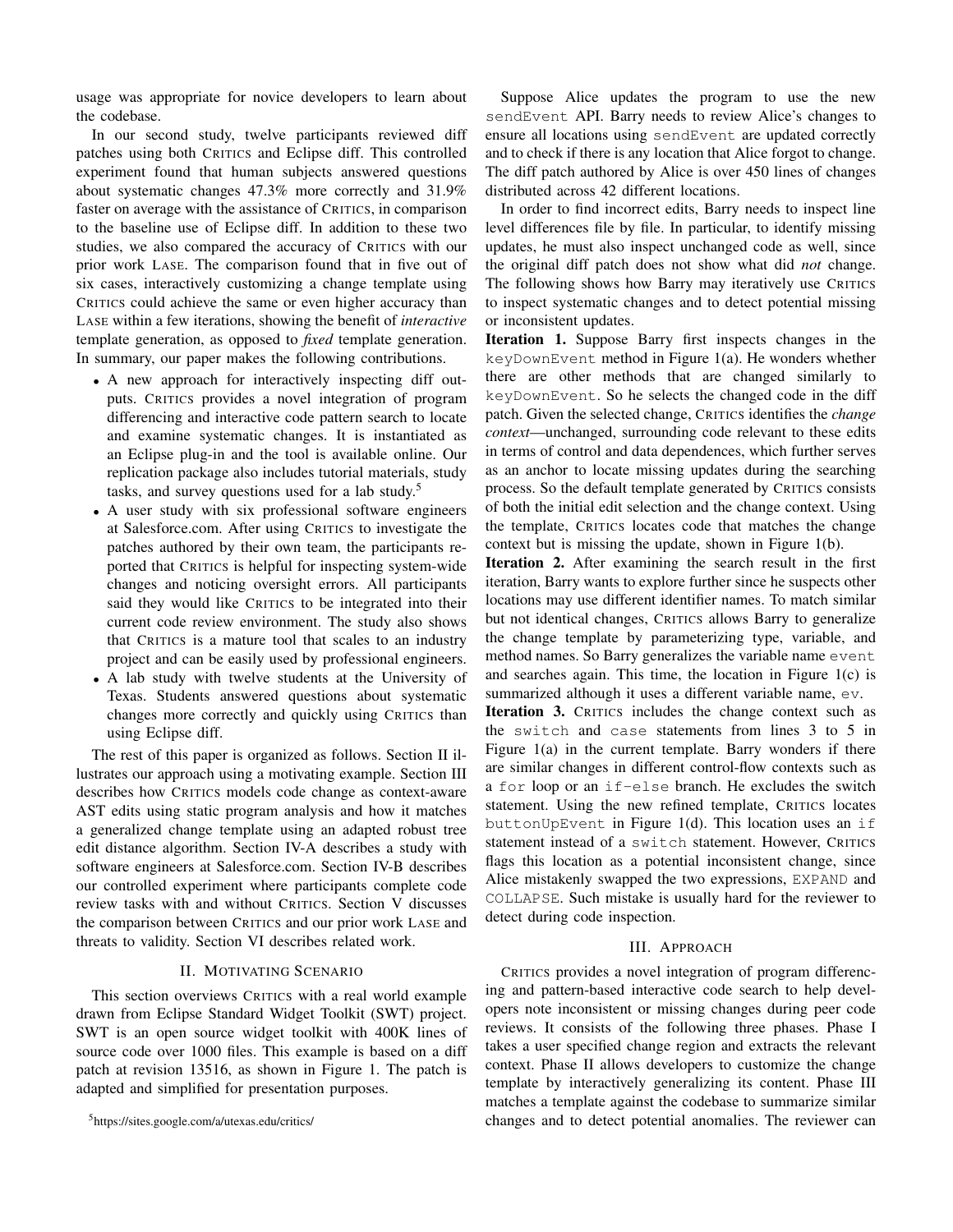usage was appropriate for novice developers to learn about the codebase.

In our second study, twelve participants reviewed diff patches using both CRITICS and Eclipse diff. This controlled experiment found that human subjects answered questions about systematic changes 47.3% more correctly and 31.9% faster on average with the assistance of CRITICS, in comparison to the baseline use of Eclipse diff. In addition to these two studies, we also compared the accuracy of CRITICS with our prior work LASE. The comparison found that in five out of six cases, interactively customizing a change template using CRITICS could achieve the same or even higher accuracy than LASE within a few iterations, showing the benefit of *interactive* template generation, as opposed to *fixed* template generation. In summary, our paper makes the following contributions.

- A new approach for interactively inspecting diff outputs. CRITICS provides a novel integration of program differencing and interactive code pattern search to locate and examine systematic changes. It is instantiated as an Eclipse plug-in and the tool is available online. Our replication package also includes tutorial materials, study tasks, and survey questions used for a lab study.<sup>5</sup>
- A user study with six professional software engineers at Salesforce.com. After using CRITICS to investigate the patches authored by their own team, the participants reported that CRITICS is helpful for inspecting system-wide changes and noticing oversight errors. All participants said they would like CRITICS to be integrated into their current code review environment. The study also shows that CRITICS is a mature tool that scales to an industry project and can be easily used by professional engineers.
- A lab study with twelve students at the University of Texas. Students answered questions about systematic changes more correctly and quickly using CRITICS than using Eclipse diff.

The rest of this paper is organized as follows. Section II illustrates our approach using a motivating example. Section III describes how CRITICS models code change as context-aware AST edits using static program analysis and how it matches a generalized change template using an adapted robust tree edit distance algorithm. Section IV-A describes a study with software engineers at Salesforce.com. Section IV-B describes our controlled experiment where participants complete code review tasks with and without CRITICS. Section V discusses the comparison between CRITICS and our prior work LASE and threats to validity. Section VI describes related work.

## II. MOTIVATING SCENARIO

This section overviews CRITICS with a real world example drawn from Eclipse Standard Widget Toolkit (SWT) project. SWT is an open source widget toolkit with 400K lines of source code over 1000 files. This example is based on a diff patch at revision 13516, as shown in Figure 1. The patch is adapted and simplified for presentation purposes.

Suppose Alice updates the program to use the new sendEvent API. Barry needs to review Alice's changes to ensure all locations using sendEvent are updated correctly and to check if there is any location that Alice forgot to change. The diff patch authored by Alice is over 450 lines of changes distributed across 42 different locations.

In order to find incorrect edits, Barry needs to inspect line level differences file by file. In particular, to identify missing updates, he must also inspect unchanged code as well, since the original diff patch does not show what did *not* change. The following shows how Barry may iteratively use CRITICS to inspect systematic changes and to detect potential missing or inconsistent updates.

Iteration 1. Suppose Barry first inspects changes in the keyDownEvent method in Figure 1(a). He wonders whether there are other methods that are changed similarly to keyDownEvent. So he selects the changed code in the diff patch. Given the selected change, CRITICS identifies the *change context*—unchanged, surrounding code relevant to these edits in terms of control and data dependences, which further serves as an anchor to locate missing updates during the searching process. So the default template generated by CRITICS consists of both the initial edit selection and the change context. Using the template, CRITICS locates code that matches the change context but is missing the update, shown in Figure 1(b).

Iteration 2. After examining the search result in the first iteration, Barry wants to explore further since he suspects other locations may use different identifier names. To match similar but not identical changes, CRITICS allows Barry to generalize the change template by parameterizing type, variable, and method names. So Barry generalizes the variable name event and searches again. This time, the location in Figure 1(c) is summarized although it uses a different variable name, ev.

Iteration 3. CRITICS includes the change context such as the switch and case statements from lines 3 to 5 in Figure 1(a) in the current template. Barry wonders if there are similar changes in different control-flow contexts such as a for loop or an if-else branch. He excludes the switch statement. Using the new refined template, CRITICS locates buttonUpEvent in Figure 1(d). This location uses an if statement instead of a switch statement. However, CRITICS flags this location as a potential inconsistent change, since Alice mistakenly swapped the two expressions, EXPAND and COLLAPSE. Such mistake is usually hard for the reviewer to detect during code inspection.

## III. APPROACH

CRITICS provides a novel integration of program differencing and pattern-based interactive code search to help developers note inconsistent or missing changes during peer code reviews. It consists of the following three phases. Phase I takes a user specified change region and extracts the relevant context. Phase II allows developers to customize the change template by interactively generalizing its content. Phase III matches a template against the codebase to summarize similar changes and to detect potential anomalies. The reviewer can

<sup>5</sup>https://sites.google.com/a/utexas.edu/critics/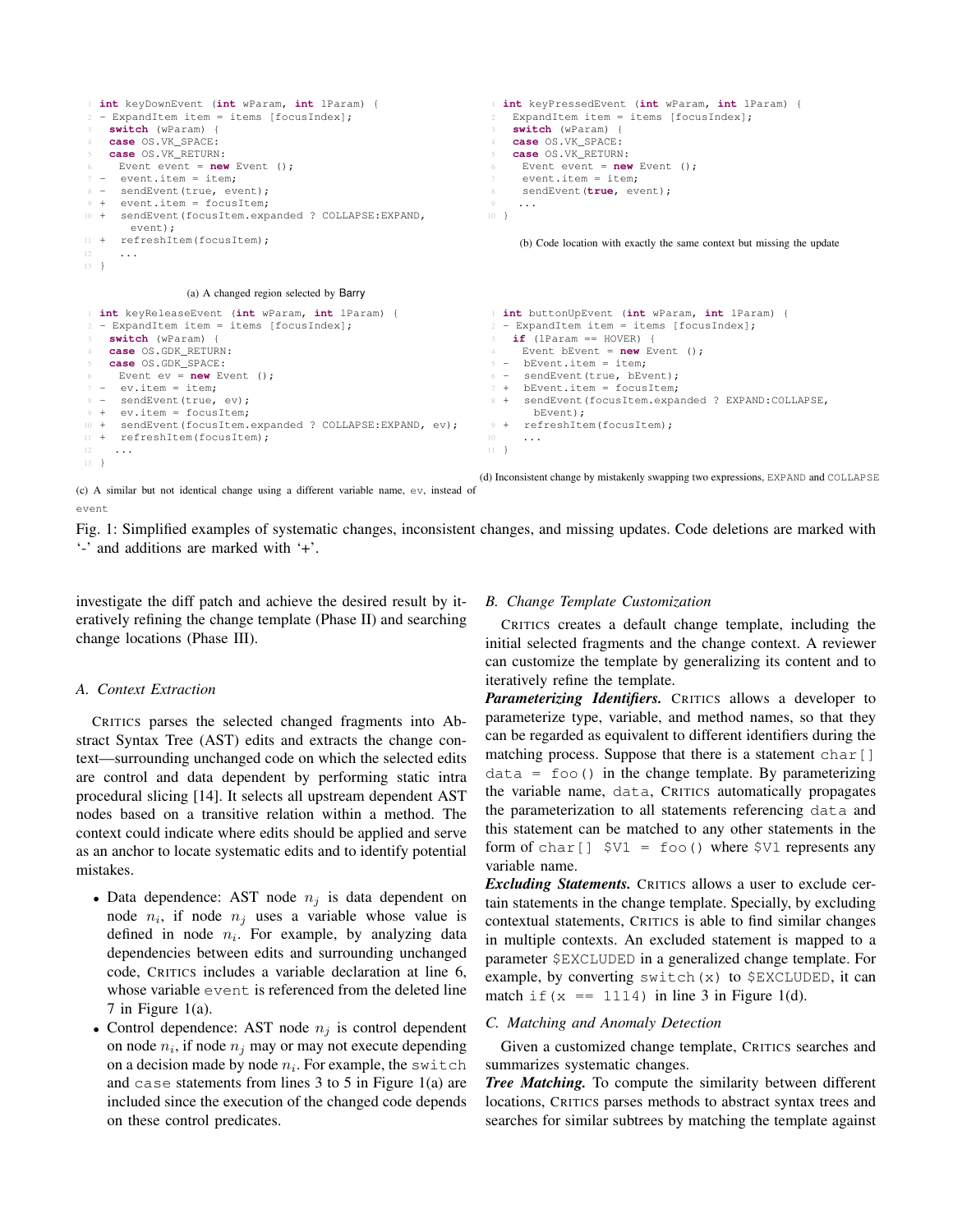```
1 int keyDownEvent (int wParam, int lParam) {
2 - ExpandItem item = items [focusIndex];
3 switch (wParam) {
   4 case OS.VK_SPACE:
    5 case OS.VK_RETURN:
     Event event = new Event ():
7 - event.item = item;
8 - sendEvent(true, event);
9 + event item = focusItem:
10 + sendEvent(focusItem.expanded ? COLLAPSE:EXPAND,
       event);
11 + refreshItem(focusItem);
12 \cdot \cdot \cdot13 }
                (a) A changed region selected by Barry
                                                                 1 int keyPressedEvent (int wParam, int lParam) {
                                                                     ExpandItem item = items [focusIndex];
                                                                     3 switch (wParam) {
                                                                     4 case OS.VK_SPACE:
                                                                     5 case OS.VK_RETURN:
                                                                       Event event = new Event ();
                                                                       event.item = item:
                                                                  8 sendEvent(true, event);
                                                                  9 ...
                                                                 10 }
                                                                      (b) Code location with exactly the same context but missing the update
1 int keyReleaseEvent (int wParam, int lParam) {
 2 - ExpandItem item = items [focusIndex];
   3 switch (wParam) {
    4 case OS.GDK_RETURN:
   5 case OS.GDK_SPACE:
    Event ev = new Event ();
7 - ev.item = item;
8 - sendEvent(true, ev);
9 + ev.item = focusItem;
10 + sendEvent(focusItem.expanded ? COLLAPSE:EXPAND, ev);
11 + refreshItem(focusItem);
12 \cdot \cdot \cdot13 }
                                                                  1 int buttonUpEvent (int wParam, int lParam) {
                                                                  2 - ExpandItem item = items [focusIndex];
                                                                     if (lParam == HOVER) {
                                                                      Event bEvent = new Event ();
                                                                  5 - bEvent.item = item;
                                                                  6 - sendEvent(true, bEvent);
                                                                  7 + bEvent.item = focusItem;
                                                                  8 + sendEvent(focusItem.expanded ? EXPAND:COLLAPSE,
                                                                        bEvent);
                                                                  9 + refreshItem(focusItem);
                                                                 11 }
```
(c) A similar but not identical change using a different variable name, ev, instead of event

Fig. 1: Simplified examples of systematic changes, inconsistent changes, and missing updates. Code deletions are marked with '-' and additions are marked with '+'.

investigate the diff patch and achieve the desired result by iteratively refining the change template (Phase II) and searching change locations (Phase III).

## *A. Context Extraction*

CRITICS parses the selected changed fragments into Abstract Syntax Tree (AST) edits and extracts the change context—surrounding unchanged code on which the selected edits are control and data dependent by performing static intra procedural slicing [14]. It selects all upstream dependent AST nodes based on a transitive relation within a method. The context could indicate where edits should be applied and serve as an anchor to locate systematic edits and to identify potential mistakes.

- Data dependence: AST node  $n_i$  is data dependent on node  $n_i$ , if node  $n_j$  uses a variable whose value is defined in node  $n_i$ . For example, by analyzing data dependencies between edits and surrounding unchanged code, CRITICS includes a variable declaration at line 6, whose variable event is referenced from the deleted line 7 in Figure 1(a).
- Control dependence: AST node  $n_i$  is control dependent on node  $n_i$ , if node  $n_j$  may or may not execute depending on a decision made by node  $n_i$ . For example, the switch and case statements from lines 3 to 5 in Figure 1(a) are included since the execution of the changed code depends on these control predicates.

## *B. Change Template Customization*

CRITICS creates a default change template, including the initial selected fragments and the change context. A reviewer can customize the template by generalizing its content and to iteratively refine the template.

(d) Inconsistent change by mistakenly swapping two expressions, EXPAND and COLLAPSE

*Parameterizing Identifiers.* CRITICS allows a developer to parameterize type, variable, and method names, so that they can be regarded as equivalent to different identifiers during the matching process. Suppose that there is a statement char  $\lceil \cdot \rceil$  $data = foo()$  in the change template. By parameterizing the variable name, data, CRITICS automatically propagates the parameterization to all statements referencing data and this statement can be matched to any other statements in the form of char  $\begin{bmatrix} 1 \\ 5 \end{bmatrix}$   $\begin{bmatrix} 5V1 \\ 5V2 \end{bmatrix}$  represents any variable name.

*Excluding Statements.* CRITICS allows a user to exclude certain statements in the change template. Specially, by excluding contextual statements, CRITICS is able to find similar changes in multiple contexts. An excluded statement is mapped to a parameter \$EXCLUDED in a generalized change template. For example, by converting switch $(x)$  to  $$$ EXCLUDED, it can match if  $(x == 1114)$  in line 3 in Figure 1(d).

### *C. Matching and Anomaly Detection*

Given a customized change template, CRITICS searches and summarizes systematic changes.

*Tree Matching.* To compute the similarity between different locations, CRITICS parses methods to abstract syntax trees and searches for similar subtrees by matching the template against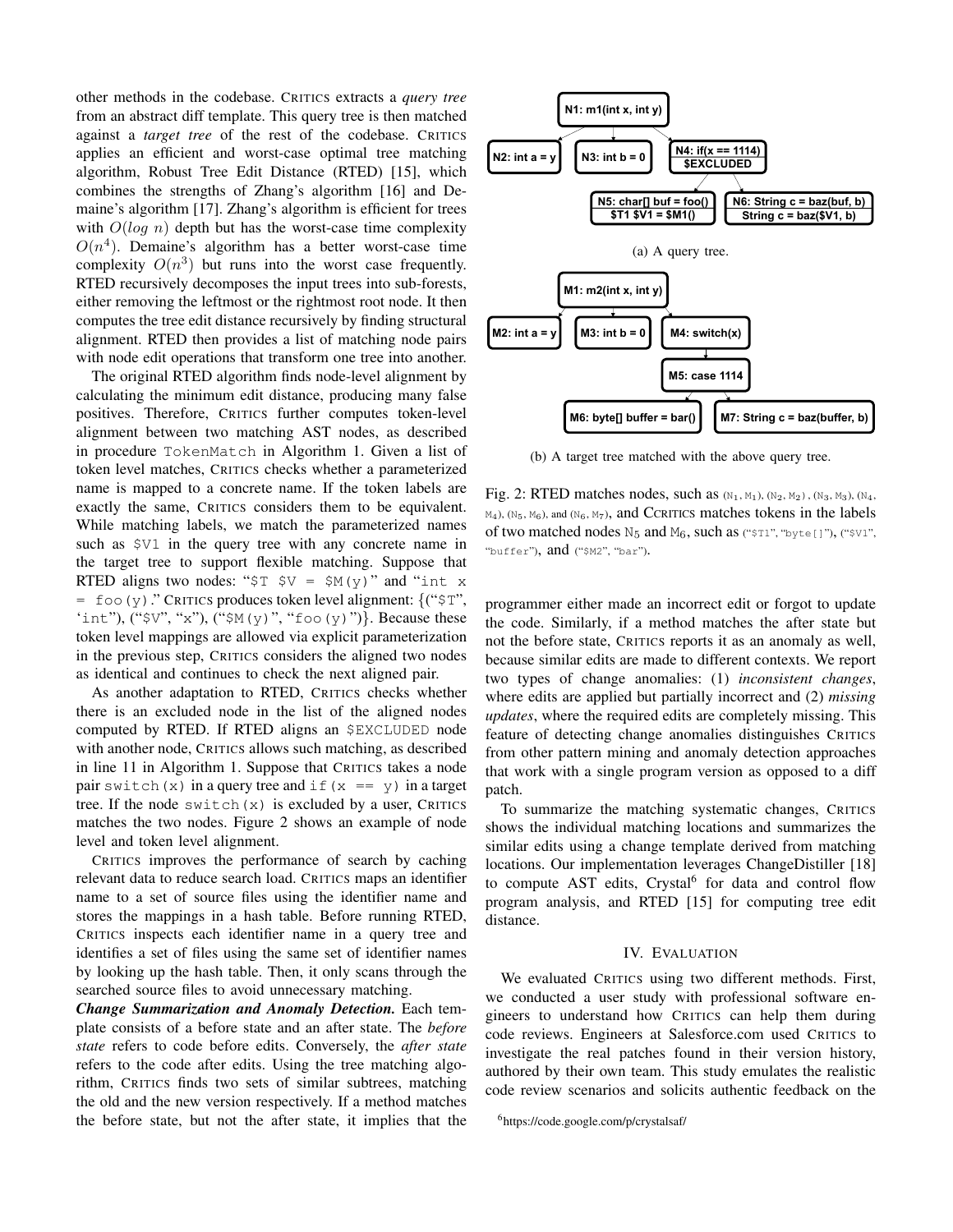other methods in the codebase. CRITICS extracts a *query tree* from an abstract diff template. This query tree is then matched against a *target tree* of the rest of the codebase. CRITICS applies an efficient and worst-case optimal tree matching algorithm, Robust Tree Edit Distance (RTED) [15], which combines the strengths of Zhang's algorithm [16] and Demaine's algorithm [17]. Zhang's algorithm is efficient for trees with  $O(log n)$  depth but has the worst-case time complexity  $O(n<sup>4</sup>)$ . Demaine's algorithm has a better worst-case time complexity  $O(n^3)$  but runs into the worst case frequently. RTED recursively decomposes the input trees into sub-forests, either removing the leftmost or the rightmost root node. It then computes the tree edit distance recursively by finding structural alignment. RTED then provides a list of matching node pairs with node edit operations that transform one tree into another.

The original RTED algorithm finds node-level alignment by calculating the minimum edit distance, producing many false positives. Therefore, CRITICS further computes token-level alignment between two matching AST nodes, as described in procedure TokenMatch in Algorithm 1. Given a list of token level matches, CRITICS checks whether a parameterized name is mapped to a concrete name. If the token labels are exactly the same, CRITICS considers them to be equivalent. While matching labels, we match the parameterized names such as \$V1 in the query tree with any concrete name in the target tree to support flexible matching. Suppose that RTED aligns two nodes: " $\overline{y}$   $\overline{y}$   $\overline{y}$  =  $\overline{y}$   $\overline{y}$  (y)" and "int x  $=$  foo(y)." CRITICS produces token level alignment: {(" $\frac{1}{2}$ ", 'int"),  $("SV", "x"), ("SM(y)", "foo(y)")\}.$  Because these token level mappings are allowed via explicit parameterization in the previous step, CRITICS considers the aligned two nodes as identical and continues to check the next aligned pair.

As another adaptation to RTED, CRITICS checks whether there is an excluded node in the list of the aligned nodes computed by RTED. If RTED aligns an \$EXCLUDED node with another node, CRITICS allows such matching, as described in line 11 in Algorithm 1. Suppose that CRITICS takes a node pair switch(x) in a query tree and if  $(x == y)$  in a target tree. If the node switch $(x)$  is excluded by a user, CRITICS matches the two nodes. Figure 2 shows an example of node level and token level alignment.

CRITICS improves the performance of search by caching relevant data to reduce search load. CRITICS maps an identifier name to a set of source files using the identifier name and stores the mappings in a hash table. Before running RTED, CRITICS inspects each identifier name in a query tree and identifies a set of files using the same set of identifier names by looking up the hash table. Then, it only scans through the searched source files to avoid unnecessary matching.

*Change Summarization and Anomaly Detection.* Each template consists of a before state and an after state. The *before state* refers to code before edits. Conversely, the *after state* refers to the code after edits. Using the tree matching algorithm, CRITICS finds two sets of similar subtrees, matching the old and the new version respectively. If a method matches the before state, but not the after state, it implies that the



(b) A target tree matched with the above query tree.

Fig. 2: RTED matches nodes, such as  $(N_1, M_1)$ ,  $(N_2, M_2)$ ,  $(N_3, M_3)$ ,  $(N_4,$  $M_4$ ), (N<sub>5</sub>, M<sub>6</sub>), and (N<sub>6</sub>, M<sub>7</sub>), and CCRITICS matches tokens in the labels of two matched nodes  $N_5$  and  $M_6$ , such as ("\$T1", "byte[]"), ("\$V1", "buffer"), and ("\$M2", "bar").

programmer either made an incorrect edit or forgot to update the code. Similarly, if a method matches the after state but not the before state, CRITICS reports it as an anomaly as well, because similar edits are made to different contexts. We report two types of change anomalies: (1) *inconsistent changes*, where edits are applied but partially incorrect and (2) *missing updates*, where the required edits are completely missing. This feature of detecting change anomalies distinguishes CRITICS from other pattern mining and anomaly detection approaches that work with a single program version as opposed to a diff patch.

To summarize the matching systematic changes, CRITICS shows the individual matching locations and summarizes the similar edits using a change template derived from matching locations. Our implementation leverages ChangeDistiller [18] to compute AST edits, Crystal<sup>6</sup> for data and control flow program analysis, and RTED [15] for computing tree edit distance.

## IV. EVALUATION

We evaluated CRITICS using two different methods. First, we conducted a user study with professional software engineers to understand how CRITICS can help them during code reviews. Engineers at Salesforce.com used CRITICS to investigate the real patches found in their version history, authored by their own team. This study emulates the realistic code review scenarios and solicits authentic feedback on the

<sup>6</sup>https://code.google.com/p/crystalsaf/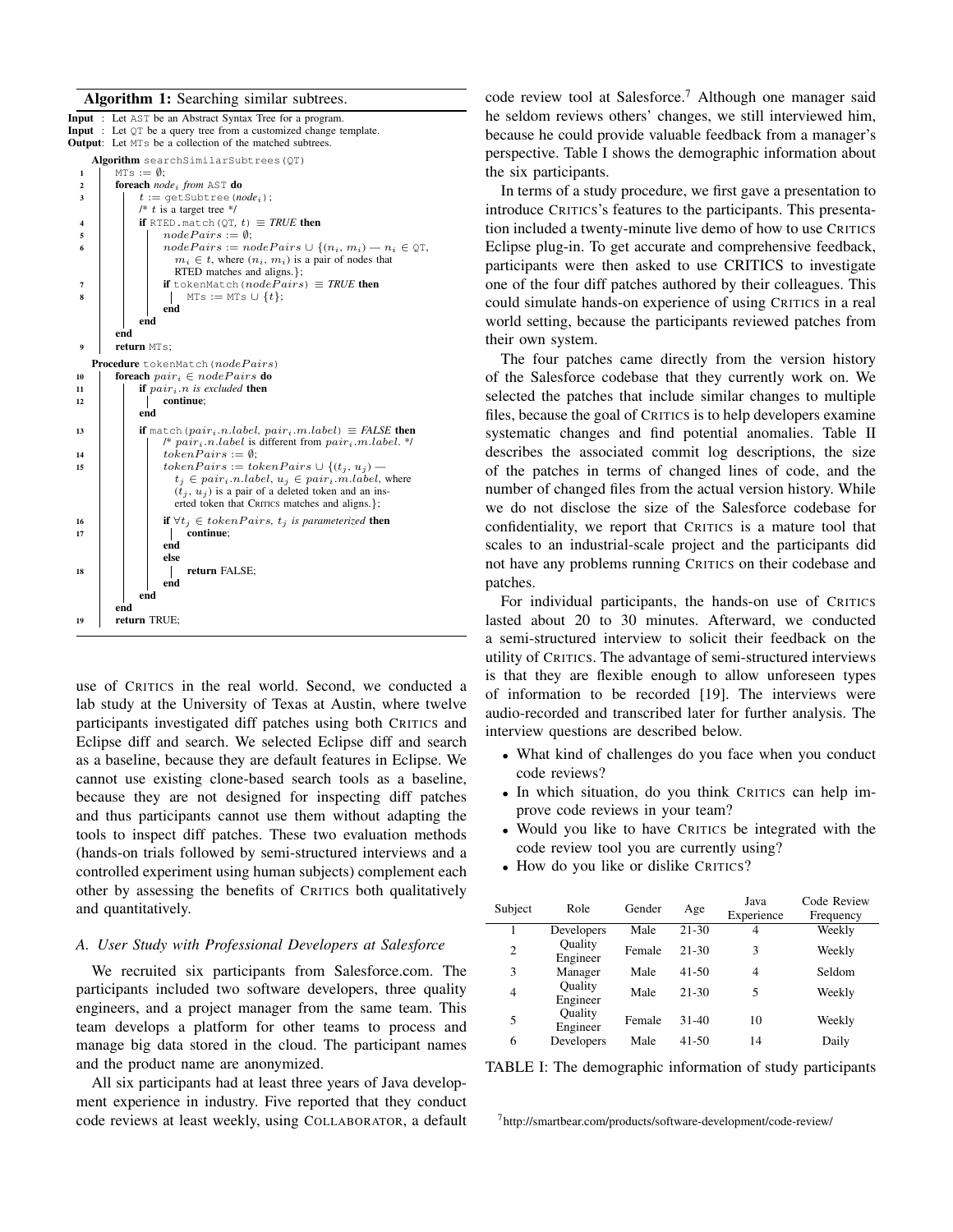#### Algorithm 1: Searching similar subtrees.



use of CRITICS in the real world. Second, we conducted a lab study at the University of Texas at Austin, where twelve participants investigated diff patches using both CRITICS and Eclipse diff and search. We selected Eclipse diff and search as a baseline, because they are default features in Eclipse. We cannot use existing clone-based search tools as a baseline, because they are not designed for inspecting diff patches and thus participants cannot use them without adapting the tools to inspect diff patches. These two evaluation methods (hands-on trials followed by semi-structured interviews and a controlled experiment using human subjects) complement each other by assessing the benefits of CRITICS both qualitatively and quantitatively.

## *A. User Study with Professional Developers at Salesforce*

We recruited six participants from Salesforce.com. The participants included two software developers, three quality engineers, and a project manager from the same team. This team develops a platform for other teams to process and manage big data stored in the cloud. The participant names and the product name are anonymized.

All six participants had at least three years of Java development experience in industry. Five reported that they conduct code reviews at least weekly, using COLLABORATOR, a default

code review tool at Salesforce.<sup>7</sup> Although one manager said he seldom reviews others' changes, we still interviewed him, because he could provide valuable feedback from a manager's perspective. Table I shows the demographic information about the six participants.

In terms of a study procedure, we first gave a presentation to introduce CRITICS's features to the participants. This presentation included a twenty-minute live demo of how to use CRITICS Eclipse plug-in. To get accurate and comprehensive feedback, participants were then asked to use CRITICS to investigate one of the four diff patches authored by their colleagues. This could simulate hands-on experience of using CRITICS in a real world setting, because the participants reviewed patches from their own system.

The four patches came directly from the version history of the Salesforce codebase that they currently work on. We selected the patches that include similar changes to multiple files, because the goal of CRITICS is to help developers examine systematic changes and find potential anomalies. Table II describes the associated commit log descriptions, the size of the patches in terms of changed lines of code, and the number of changed files from the actual version history. While we do not disclose the size of the Salesforce codebase for confidentiality, we report that CRITICS is a mature tool that scales to an industrial-scale project and the participants did not have any problems running CRITICS on their codebase and patches.

For individual participants, the hands-on use of CRITICS lasted about 20 to 30 minutes. Afterward, we conducted a semi-structured interview to solicit their feedback on the utility of CRITICS. The advantage of semi-structured interviews is that they are flexible enough to allow unforeseen types of information to be recorded [19]. The interviews were audio-recorded and transcribed later for further analysis. The interview questions are described below.

- What kind of challenges do you face when you conduct code reviews?
- In which situation, do you think CRITICS can help improve code reviews in your team?
- Would you like to have CRITICS be integrated with the code review tool you are currently using?
- How do you like or dislike CRITICS?

| Subject        | Role                | Gender | Age       | Java<br>Experience | Code Review<br>Frequency |
|----------------|---------------------|--------|-----------|--------------------|--------------------------|
|                | Developers          | Male   | $21 - 30$ | 4                  | Weekly                   |
| 2              | Quality<br>Engineer | Female | 21-30     | 3                  | Weekly                   |
| 3              | Manager             | Male   | $41 - 50$ | 4                  | Seldom                   |
| $\overline{4}$ | Quality<br>Engineer | Male   | $21 - 30$ | 5                  | Weekly                   |
| 5              | Quality<br>Engineer | Female | $31 - 40$ | 10                 | Weekly                   |
| 6              | Developers          | Male   | $41 - 50$ | 14                 | Daily                    |

TABLE I: The demographic information of study participants

<sup>7</sup>http://smartbear.com/products/software-development/code-review/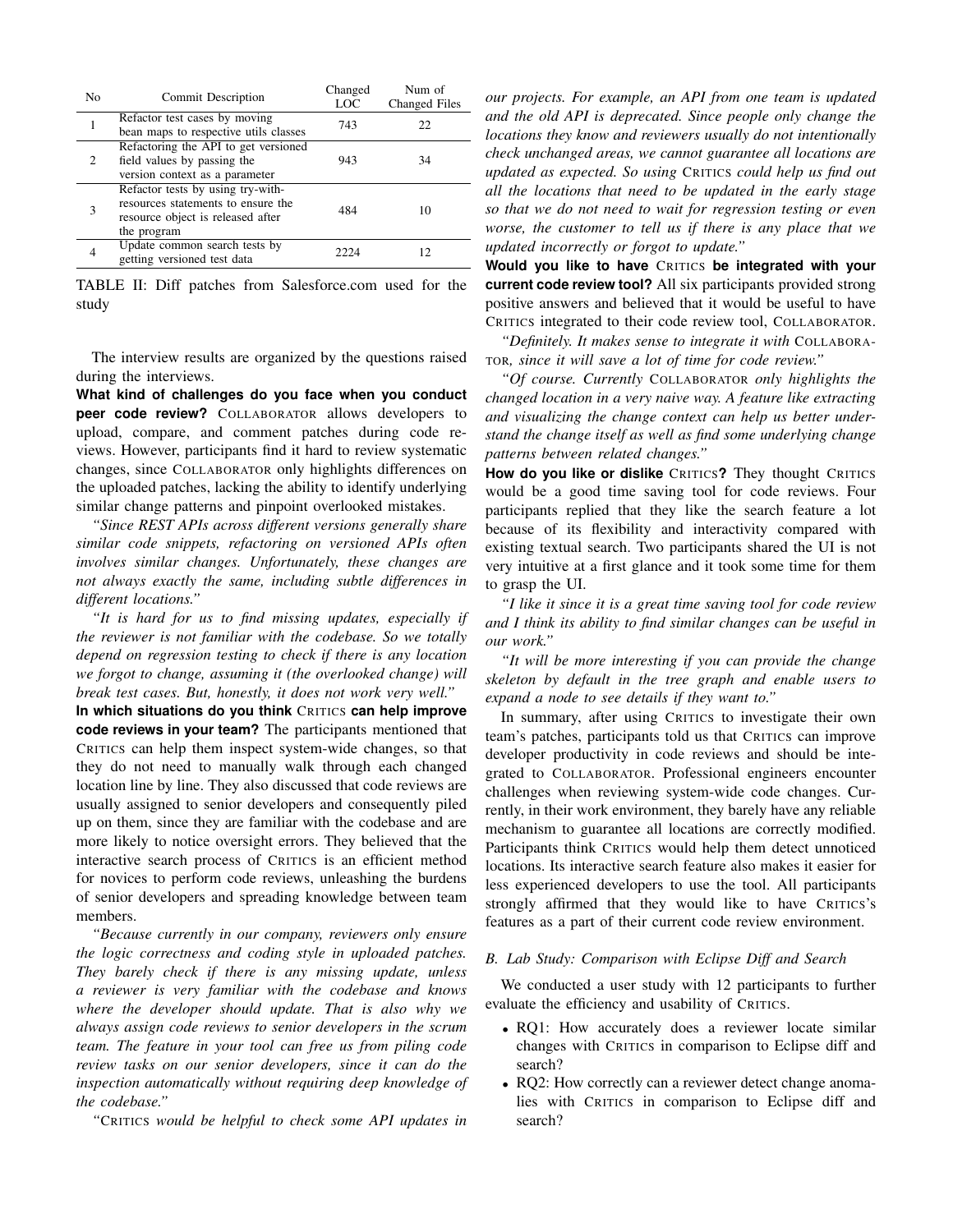| N <sub>0</sub> | <b>Commit Description</b>                                                                                                   | Changed<br>LOC | Num of<br>Changed Files |
|----------------|-----------------------------------------------------------------------------------------------------------------------------|----------------|-------------------------|
|                | Refactor test cases by moving<br>bean maps to respective utils classes                                                      | 743            | 22.                     |
| 2              | Refactoring the API to get versioned<br>field values by passing the<br>version context as a parameter                       | 943            | 34                      |
| 3              | Refactor tests by using try-with-<br>resources statements to ensure the<br>resource object is released after<br>the program | 484            | 10                      |
|                | Update common search tests by<br>getting versioned test data                                                                | 2224           | 12.                     |

TABLE II: Diff patches from Salesforce.com used for the study

The interview results are organized by the questions raised during the interviews.

**What kind of challenges do you face when you conduct peer code review?** COLLABORATOR allows developers to upload, compare, and comment patches during code reviews. However, participants find it hard to review systematic changes, since COLLABORATOR only highlights differences on the uploaded patches, lacking the ability to identify underlying similar change patterns and pinpoint overlooked mistakes.

*"Since REST APIs across different versions generally share similar code snippets, refactoring on versioned APIs often involves similar changes. Unfortunately, these changes are not always exactly the same, including subtle differences in different locations."*

*"It is hard for us to find missing updates, especially if the reviewer is not familiar with the codebase. So we totally depend on regression testing to check if there is any location we forgot to change, assuming it (the overlooked change) will break test cases. But, honestly, it does not work very well."*

**In which situations do you think** CRITICS **can help improve code reviews in your team?** The participants mentioned that CRITICS can help them inspect system-wide changes, so that they do not need to manually walk through each changed location line by line. They also discussed that code reviews are usually assigned to senior developers and consequently piled up on them, since they are familiar with the codebase and are more likely to notice oversight errors. They believed that the interactive search process of CRITICS is an efficient method for novices to perform code reviews, unleashing the burdens of senior developers and spreading knowledge between team members.

*"Because currently in our company, reviewers only ensure the logic correctness and coding style in uploaded patches. They barely check if there is any missing update, unless a reviewer is very familiar with the codebase and knows where the developer should update. That is also why we always assign code reviews to senior developers in the scrum team. The feature in your tool can free us from piling code review tasks on our senior developers, since it can do the inspection automatically without requiring deep knowledge of the codebase."*

*"*CRITICS *would be helpful to check some API updates in*

*our projects. For example, an API from one team is updated and the old API is deprecated. Since people only change the locations they know and reviewers usually do not intentionally check unchanged areas, we cannot guarantee all locations are updated as expected. So using* CRITICS *could help us find out all the locations that need to be updated in the early stage so that we do not need to wait for regression testing or even worse, the customer to tell us if there is any place that we updated incorrectly or forgot to update."*

**Would you like to have** CRITICS **be integrated with your current code review tool?** All six participants provided strong positive answers and believed that it would be useful to have CRITICS integrated to their code review tool, COLLABORATOR.

*"Definitely. It makes sense to integrate it with* COLLABORA-TOR*, since it will save a lot of time for code review."*

*"Of course. Currently* COLLABORATOR *only highlights the changed location in a very naive way. A feature like extracting and visualizing the change context can help us better understand the change itself as well as find some underlying change patterns between related changes."*

**How do you like or dislike** CRITICS**?** They thought CRITICS would be a good time saving tool for code reviews. Four participants replied that they like the search feature a lot because of its flexibility and interactivity compared with existing textual search. Two participants shared the UI is not very intuitive at a first glance and it took some time for them to grasp the UI.

*"I like it since it is a great time saving tool for code review and I think its ability to find similar changes can be useful in our work."*

*"It will be more interesting if you can provide the change skeleton by default in the tree graph and enable users to expand a node to see details if they want to."*

In summary, after using CRITICS to investigate their own team's patches, participants told us that CRITICS can improve developer productivity in code reviews and should be integrated to COLLABORATOR. Professional engineers encounter challenges when reviewing system-wide code changes. Currently, in their work environment, they barely have any reliable mechanism to guarantee all locations are correctly modified. Participants think CRITICS would help them detect unnoticed locations. Its interactive search feature also makes it easier for less experienced developers to use the tool. All participants strongly affirmed that they would like to have CRITICS's features as a part of their current code review environment.

## *B. Lab Study: Comparison with Eclipse Diff and Search*

We conducted a user study with 12 participants to further evaluate the efficiency and usability of CRITICS.

- RQ1: How accurately does a reviewer locate similar changes with CRITICS in comparison to Eclipse diff and search?
- RQ2: How correctly can a reviewer detect change anomalies with CRITICS in comparison to Eclipse diff and search?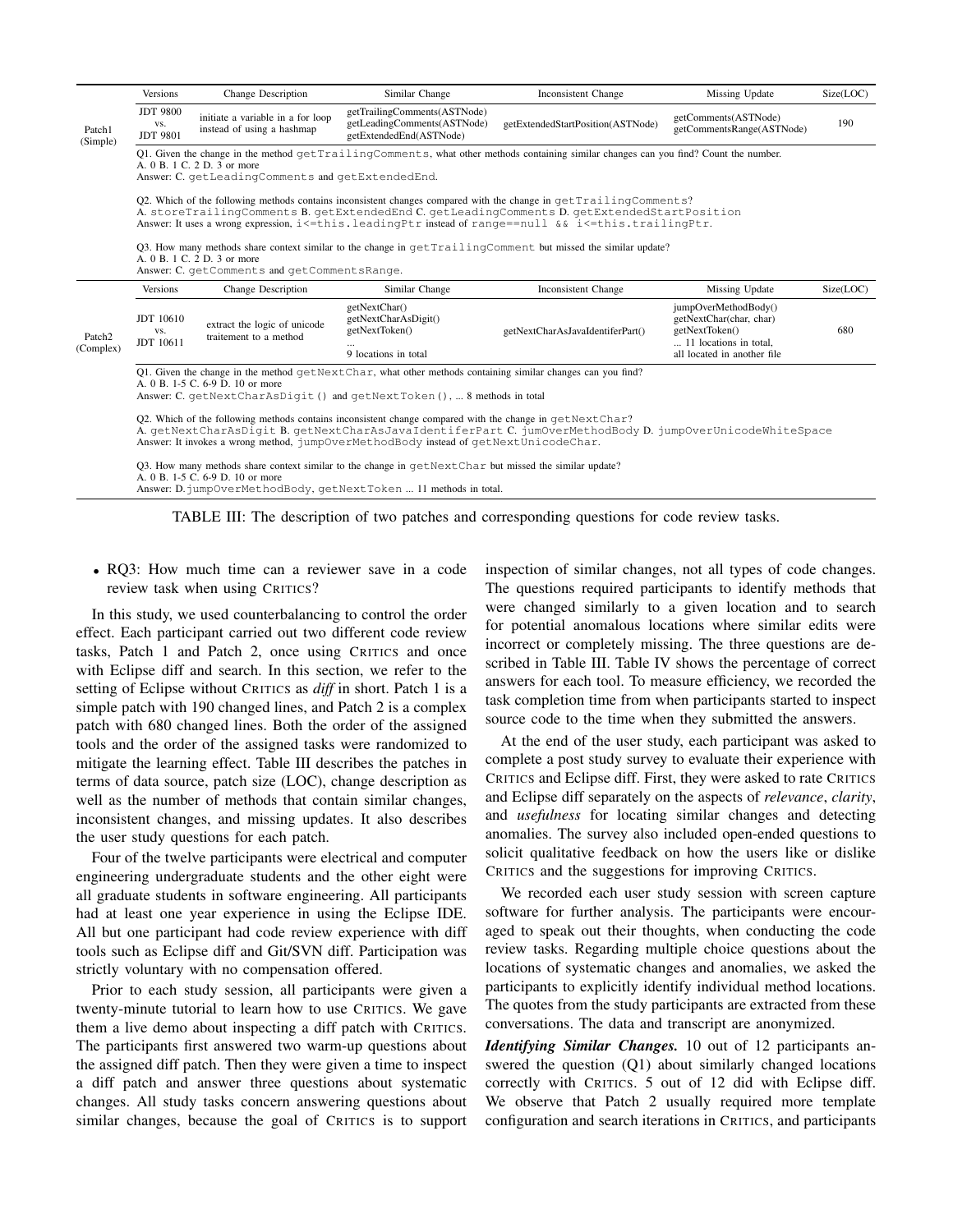| Versions                                                                                                                                                                                                                              | Change Description                                              | Similar Change                                                                                      | Inconsistent Change                          | Missing Update                                                                                                                                                                                                                                                                                                                                                                                                                                                                                                                                                                                                            | Size(LOC)                                                                                                                                                                                                                                                                                                                                                                                                                                                                                                                                                       |  |  |
|---------------------------------------------------------------------------------------------------------------------------------------------------------------------------------------------------------------------------------------|-----------------------------------------------------------------|-----------------------------------------------------------------------------------------------------|----------------------------------------------|---------------------------------------------------------------------------------------------------------------------------------------------------------------------------------------------------------------------------------------------------------------------------------------------------------------------------------------------------------------------------------------------------------------------------------------------------------------------------------------------------------------------------------------------------------------------------------------------------------------------------|-----------------------------------------------------------------------------------------------------------------------------------------------------------------------------------------------------------------------------------------------------------------------------------------------------------------------------------------------------------------------------------------------------------------------------------------------------------------------------------------------------------------------------------------------------------------|--|--|
| <b>JDT 9800</b><br>VS.<br><b>JDT 9801</b>                                                                                                                                                                                             | initiate a variable in a for loop<br>instead of using a hashmap | getTrailingComments(ASTNode)<br>getLeadingComments(ASTNode)<br>getExtendedEnd(ASTNode)              |                                              | getComments(ASTNode)<br>getCommentsRange(ASTNode)                                                                                                                                                                                                                                                                                                                                                                                                                                                                                                                                                                         | 190                                                                                                                                                                                                                                                                                                                                                                                                                                                                                                                                                             |  |  |
| (Simple)<br>Q1. Given the change in the method qetTrailingComments, what other methods containing similar changes can you find? Count the number.<br>A. 0 B. 1 C. 2 D. 3 or more<br>Answer: C. getLeadingComments and getExtendedEnd. |                                                                 |                                                                                                     |                                              |                                                                                                                                                                                                                                                                                                                                                                                                                                                                                                                                                                                                                           |                                                                                                                                                                                                                                                                                                                                                                                                                                                                                                                                                                 |  |  |
|                                                                                                                                                                                                                                       |                                                                 |                                                                                                     |                                              |                                                                                                                                                                                                                                                                                                                                                                                                                                                                                                                                                                                                                           |                                                                                                                                                                                                                                                                                                                                                                                                                                                                                                                                                                 |  |  |
|                                                                                                                                                                                                                                       |                                                                 |                                                                                                     |                                              |                                                                                                                                                                                                                                                                                                                                                                                                                                                                                                                                                                                                                           |                                                                                                                                                                                                                                                                                                                                                                                                                                                                                                                                                                 |  |  |
| Versions                                                                                                                                                                                                                              | <b>Change Description</b>                                       | Similar Change                                                                                      | Inconsistent Change                          | Missing Update                                                                                                                                                                                                                                                                                                                                                                                                                                                                                                                                                                                                            | Size(LOC)                                                                                                                                                                                                                                                                                                                                                                                                                                                                                                                                                       |  |  |
| <b>JDT</b> 10610<br>VS.<br>JDT 10611                                                                                                                                                                                                  | extract the logic of unicode<br>traitement to a method          | getNextChar()<br>getNextCharAsDigit()<br>getNextToken()<br>9 locations in total                     | getNextCharAsJavaIdentiferPart()             | jumpOverMethodBody()<br>getNextChar(char, char)<br>getNextToken()<br>11 locations in total,<br>all located in another file                                                                                                                                                                                                                                                                                                                                                                                                                                                                                                | 680                                                                                                                                                                                                                                                                                                                                                                                                                                                                                                                                                             |  |  |
|                                                                                                                                                                                                                                       |                                                                 |                                                                                                     |                                              |                                                                                                                                                                                                                                                                                                                                                                                                                                                                                                                                                                                                                           |                                                                                                                                                                                                                                                                                                                                                                                                                                                                                                                                                                 |  |  |
|                                                                                                                                                                                                                                       |                                                                 | A. 0 B. 1 C. 2 D. 3 or more<br>A. 0 B. 1-5 C. 6-9 D. 10 or more<br>A. 0 B. 1-5 C. 6-9 D. 10 or more | Answer: C. getComments and getCommentsRange. | getExtendedStartPosition(ASTNode)<br>Q1. Given the change in the method $q$ etNextChar, what other methods containing similar changes can you find?<br>Answer: C. getNextCharAsDigit () and getNextToken (),  8 methods in total<br>Q2. Which of the following methods contains inconsistent change compared with the change in $qetNextChar$ ?<br>Answer: It invokes a wrong method, jumpOverMethodBody instead of qetNextUnicodeChar.<br>O3. How many methods share context similar to the change in $q$ etNextChar but missed the similar update?<br>Answer: D. jumpOverMethodBody, getNextToken  11 methods in total. | Q2. Which of the following methods contains inconsistent changes compared with the change in qetTrailingComments?<br>A. storeTrailingComments B. getExtendedEnd C. getLeadingComments D. getExtendedStartPosition<br>Answer: It uses a wrong expression, i<=this.leadingPtr instead of range==null && i<=this.trailingPtr.<br>O3. How many methods share context similar to the change in $\text{getTrainqComment}$ but missed the similar update?<br>A. getNextCharAsDigit B. getNextCharAsJavaIdentiferPart C. jumOverMethodBody D. jumpOverUnicodeWhiteSpace |  |  |

TABLE III: The description of two patches and corresponding questions for code review tasks.

• RQ3: How much time can a reviewer save in a code review task when using CRITICS?

In this study, we used counterbalancing to control the order effect. Each participant carried out two different code review tasks, Patch 1 and Patch 2, once using CRITICS and once with Eclipse diff and search. In this section, we refer to the setting of Eclipse without CRITICS as *diff* in short. Patch 1 is a simple patch with 190 changed lines, and Patch 2 is a complex patch with 680 changed lines. Both the order of the assigned tools and the order of the assigned tasks were randomized to mitigate the learning effect. Table III describes the patches in terms of data source, patch size (LOC), change description as well as the number of methods that contain similar changes, inconsistent changes, and missing updates. It also describes the user study questions for each patch.

Four of the twelve participants were electrical and computer engineering undergraduate students and the other eight were all graduate students in software engineering. All participants had at least one year experience in using the Eclipse IDE. All but one participant had code review experience with diff tools such as Eclipse diff and Git/SVN diff. Participation was strictly voluntary with no compensation offered.

Prior to each study session, all participants were given a twenty-minute tutorial to learn how to use CRITICS. We gave them a live demo about inspecting a diff patch with CRITICS. The participants first answered two warm-up questions about the assigned diff patch. Then they were given a time to inspect a diff patch and answer three questions about systematic changes. All study tasks concern answering questions about similar changes, because the goal of CRITICS is to support inspection of similar changes, not all types of code changes. The questions required participants to identify methods that were changed similarly to a given location and to search for potential anomalous locations where similar edits were incorrect or completely missing. The three questions are described in Table III. Table IV shows the percentage of correct answers for each tool. To measure efficiency, we recorded the task completion time from when participants started to inspect source code to the time when they submitted the answers.

At the end of the user study, each participant was asked to complete a post study survey to evaluate their experience with CRITICS and Eclipse diff. First, they were asked to rate CRITICS and Eclipse diff separately on the aspects of *relevance*, *clarity*, and *usefulness* for locating similar changes and detecting anomalies. The survey also included open-ended questions to solicit qualitative feedback on how the users like or dislike CRITICS and the suggestions for improving CRITICS.

We recorded each user study session with screen capture software for further analysis. The participants were encouraged to speak out their thoughts, when conducting the code review tasks. Regarding multiple choice questions about the locations of systematic changes and anomalies, we asked the participants to explicitly identify individual method locations. The quotes from the study participants are extracted from these conversations. The data and transcript are anonymized.

*Identifying Similar Changes.* 10 out of 12 participants answered the question (Q1) about similarly changed locations correctly with CRITICS. 5 out of 12 did with Eclipse diff. We observe that Patch 2 usually required more template configuration and search iterations in CRITICS, and participants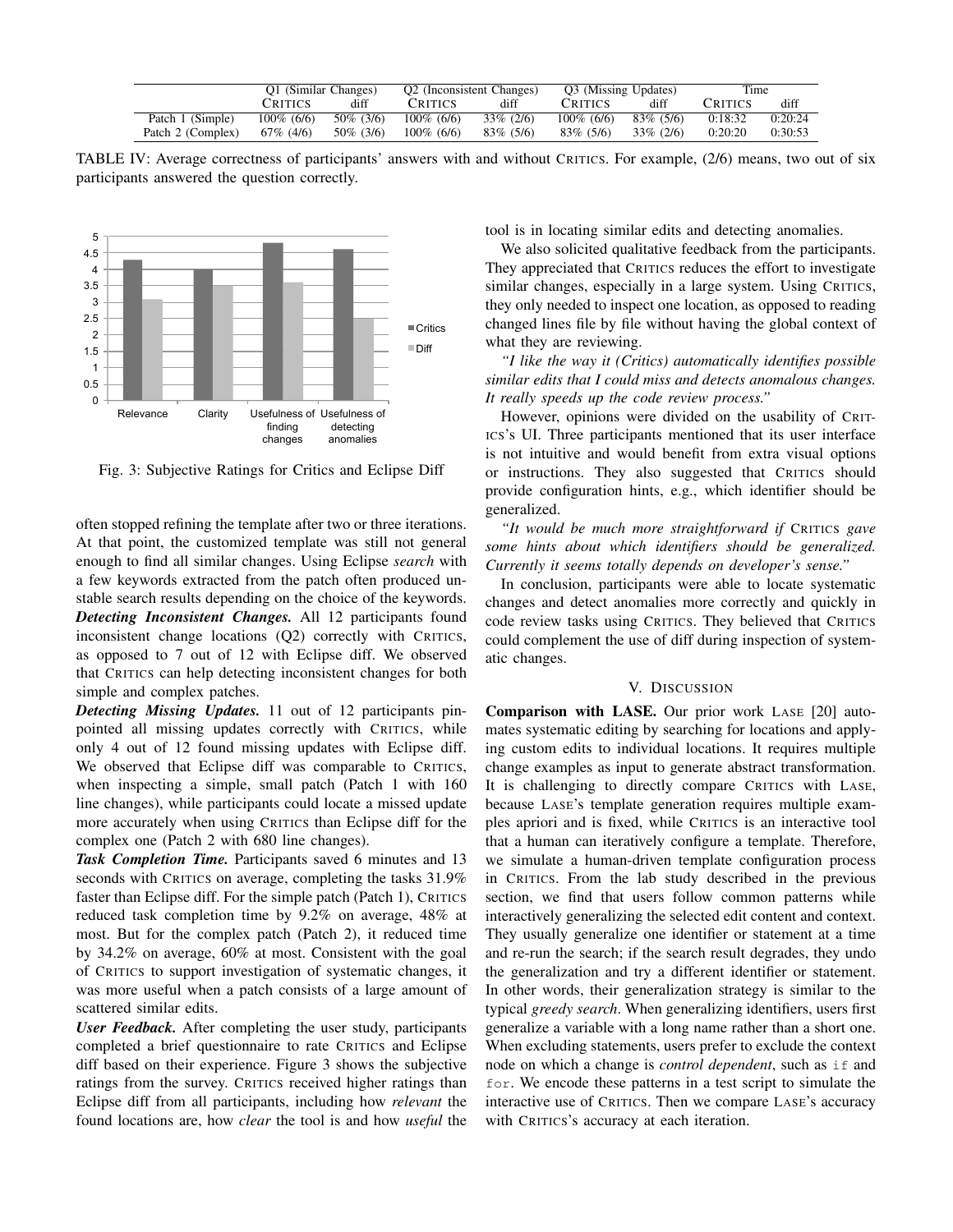|                   | O1 (Similar Changes) |              | O <sub>2</sub> (Inconsistent Changes) |              | O3 (Missing Updates) |              | Time    |         |
|-------------------|----------------------|--------------|---------------------------------------|--------------|----------------------|--------------|---------|---------|
|                   | <b>CRITICS</b>       | diff         | <b>CRITICS</b>                        | diff         | <b>CRITICS</b>       | diff         | Critics | diff    |
| Patch 1 (Simple)  | $100\%$ (6/6)        | 50\% (3/6)   | $100\%$ (6/6)                         | $33\%$ (2/6) | $100\%$ (6/6)        | $83\%$ (5/6) | 0:18:32 | 0:20:24 |
| Patch 2 (Complex) | $67\%$ (4/6)         | $50\%$ (3/6) | $100\%$ (6/6)                         | $83\%$ (5/6) | $83\%$ (5/6)         | 33\% (2/6)   | 0:20:20 | 0:30:53 |

TABLE IV: Average correctness of participants' answers with and without CRITICS. For example, (2/6) means, two out of six participants answered the question correctly.



Fig. 3: Subjective Ratings for Critics and Eclipse Diff

often stopped refining the template after two or three iterations. At that point, the customized template was still not general enough to find all similar changes. Using Eclipse *search* with a few keywords extracted from the patch often produced unstable search results depending on the choice of the keywords. *Detecting Inconsistent Changes.* All 12 participants found inconsistent change locations (Q2) correctly with CRITICS, as opposed to 7 out of 12 with Eclipse diff. We observed that CRITICS can help detecting inconsistent changes for both simple and complex patches.

*Detecting Missing Updates.* 11 out of 12 participants pinpointed all missing updates correctly with CRITICS, while only 4 out of 12 found missing updates with Eclipse diff. We observed that Eclipse diff was comparable to CRITICS, when inspecting a simple, small patch (Patch 1 with 160 line changes), while participants could locate a missed update more accurately when using CRITICS than Eclipse diff for the complex one (Patch 2 with 680 line changes).

*Task Completion Time.* Participants saved 6 minutes and 13 seconds with CRITICS on average, completing the tasks 31.9% faster than Eclipse diff. For the simple patch (Patch 1), CRITICS reduced task completion time by 9.2% on average, 48% at most. But for the complex patch (Patch 2), it reduced time by 34.2% on average, 60% at most. Consistent with the goal of CRITICS to support investigation of systematic changes, it was more useful when a patch consists of a large amount of scattered similar edits.

*User Feedback.* After completing the user study, participants completed a brief questionnaire to rate CRITICS and Eclipse diff based on their experience. Figure 3 shows the subjective ratings from the survey. CRITICS received higher ratings than Eclipse diff from all participants, including how *relevant* the found locations are, how *clear* the tool is and how *useful* the tool is in locating similar edits and detecting anomalies.

We also solicited qualitative feedback from the participants. They appreciated that CRITICS reduces the effort to investigate similar changes, especially in a large system. Using CRITICS, they only needed to inspect one location, as opposed to reading changed lines file by file without having the global context of what they are reviewing.

*"I like the way it (Critics) automatically identifies possible similar edits that I could miss and detects anomalous changes. It really speeds up the code review process."*

However, opinions were divided on the usability of CRIT-ICS's UI. Three participants mentioned that its user interface is not intuitive and would benefit from extra visual options or instructions. They also suggested that CRITICS should provide configuration hints, e.g., which identifier should be generalized.

*"It would be much more straightforward if* CRITICS *gave some hints about which identifiers should be generalized. Currently it seems totally depends on developer's sense."*

In conclusion, participants were able to locate systematic changes and detect anomalies more correctly and quickly in code review tasks using CRITICS. They believed that CRITICS could complement the use of diff during inspection of systematic changes.

## V. DISCUSSION

Comparison with LASE. Our prior work LASE [20] automates systematic editing by searching for locations and applying custom edits to individual locations. It requires multiple change examples as input to generate abstract transformation. It is challenging to directly compare CRITICS with LASE, because LASE's template generation requires multiple examples apriori and is fixed, while CRITICS is an interactive tool that a human can iteratively configure a template. Therefore, we simulate a human-driven template configuration process in CRITICS. From the lab study described in the previous section, we find that users follow common patterns while interactively generalizing the selected edit content and context. They usually generalize one identifier or statement at a time and re-run the search; if the search result degrades, they undo the generalization and try a different identifier or statement. In other words, their generalization strategy is similar to the typical *greedy search*. When generalizing identifiers, users first generalize a variable with a long name rather than a short one. When excluding statements, users prefer to exclude the context node on which a change is *control dependent*, such as if and for. We encode these patterns in a test script to simulate the interactive use of CRITICS. Then we compare LASE's accuracy with CRITICS's accuracy at each iteration.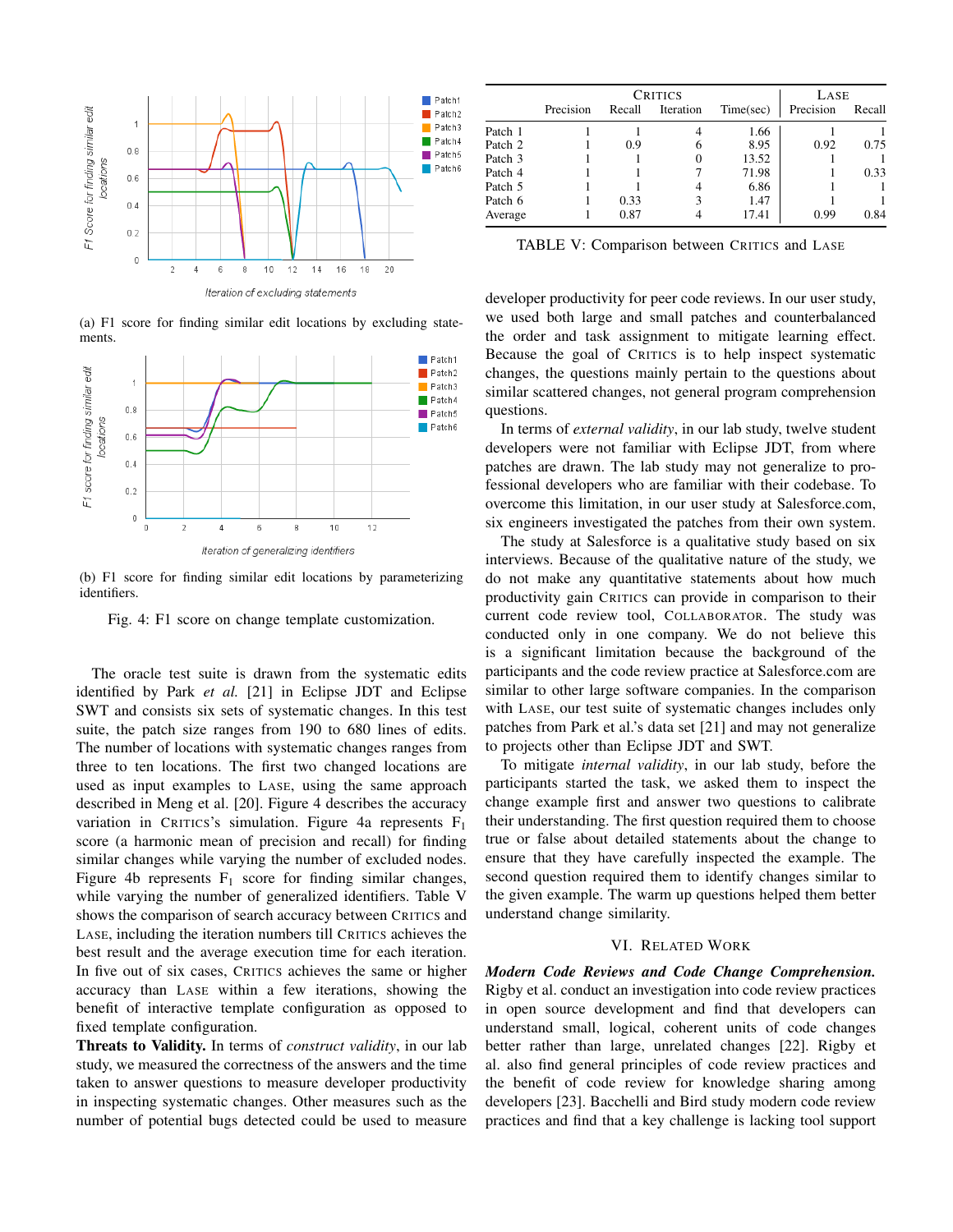

(a) F1 score for finding similar edit locations by excluding statements.



(b) F1 score for finding similar edit locations by parameterizing identifiers.

Fig. 4: F1 score on change template customization.

The oracle test suite is drawn from the systematic edits identified by Park *et al.* [21] in Eclipse JDT and Eclipse SWT and consists six sets of systematic changes. In this test suite, the patch size ranges from 190 to 680 lines of edits. The number of locations with systematic changes ranges from three to ten locations. The first two changed locations are used as input examples to LASE, using the same approach described in Meng et al. [20]. Figure 4 describes the accuracy variation in CRITICS's simulation. Figure 4a represents  $F_1$ score (a harmonic mean of precision and recall) for finding similar changes while varying the number of excluded nodes. Figure 4b represents  $F_1$  score for finding similar changes, while varying the number of generalized identifiers. Table V shows the comparison of search accuracy between CRITICS and LASE, including the iteration numbers till CRITICS achieves the best result and the average execution time for each iteration. In five out of six cases, CRITICS achieves the same or higher accuracy than LASE within a few iterations, showing the benefit of interactive template configuration as opposed to fixed template configuration.

Threats to Validity. In terms of *construct validity*, in our lab study, we measured the correctness of the answers and the time taken to answer questions to measure developer productivity in inspecting systematic changes. Other measures such as the number of potential bugs detected could be used to measure

|         |           | LASE   |           |           |           |        |
|---------|-----------|--------|-----------|-----------|-----------|--------|
|         | Precision | Recall | Iteration | Time(sec) | Precision | Recall |
| Patch 1 |           |        |           | 1.66      |           |        |
| Patch 2 |           | 0.9    | 6         | 8.95      | 0.92      | 0.75   |
| Patch 3 |           |        |           | 13.52     |           |        |
| Patch 4 |           |        |           | 71.98     |           | 0.33   |
| Patch 5 |           |        |           | 6.86      |           |        |
| Patch 6 |           | 0.33   |           | 1.47      |           |        |
| Average |           | 0.87   |           | 17.41     | 0.99      | 0.84   |

TABLE V: Comparison between CRITICS and LASE

developer productivity for peer code reviews. In our user study, we used both large and small patches and counterbalanced the order and task assignment to mitigate learning effect. Because the goal of CRITICS is to help inspect systematic changes, the questions mainly pertain to the questions about similar scattered changes, not general program comprehension questions.

In terms of *external validity*, in our lab study, twelve student developers were not familiar with Eclipse JDT, from where patches are drawn. The lab study may not generalize to professional developers who are familiar with their codebase. To overcome this limitation, in our user study at Salesforce.com, six engineers investigated the patches from their own system.

The study at Salesforce is a qualitative study based on six interviews. Because of the qualitative nature of the study, we do not make any quantitative statements about how much productivity gain CRITICS can provide in comparison to their current code review tool, COLLABORATOR. The study was conducted only in one company. We do not believe this is a significant limitation because the background of the participants and the code review practice at Salesforce.com are similar to other large software companies. In the comparison with LASE, our test suite of systematic changes includes only patches from Park et al.'s data set [21] and may not generalize to projects other than Eclipse JDT and SWT.

To mitigate *internal validity*, in our lab study, before the participants started the task, we asked them to inspect the change example first and answer two questions to calibrate their understanding. The first question required them to choose true or false about detailed statements about the change to ensure that they have carefully inspected the example. The second question required them to identify changes similar to the given example. The warm up questions helped them better understand change similarity.

## VI. RELATED WORK

*Modern Code Reviews and Code Change Comprehension.* Rigby et al. conduct an investigation into code review practices in open source development and find that developers can understand small, logical, coherent units of code changes better rather than large, unrelated changes [22]. Rigby et al. also find general principles of code review practices and the benefit of code review for knowledge sharing among developers [23]. Bacchelli and Bird study modern code review practices and find that a key challenge is lacking tool support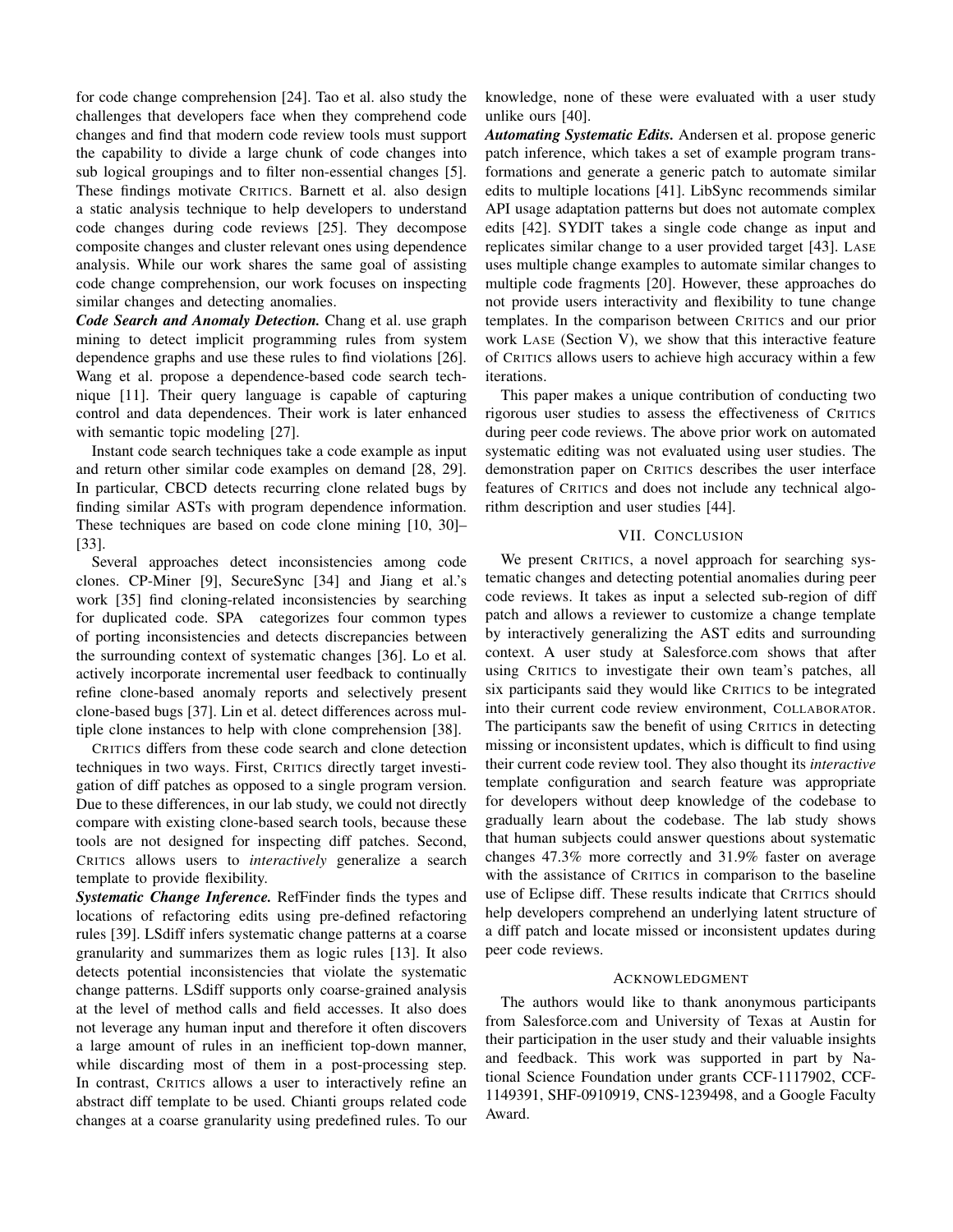for code change comprehension [24]. Tao et al. also study the challenges that developers face when they comprehend code changes and find that modern code review tools must support the capability to divide a large chunk of code changes into sub logical groupings and to filter non-essential changes [5]. These findings motivate CRITICS. Barnett et al. also design a static analysis technique to help developers to understand code changes during code reviews [25]. They decompose composite changes and cluster relevant ones using dependence analysis. While our work shares the same goal of assisting code change comprehension, our work focuses on inspecting similar changes and detecting anomalies.

*Code Search and Anomaly Detection.* Chang et al. use graph mining to detect implicit programming rules from system dependence graphs and use these rules to find violations [26]. Wang et al. propose a dependence-based code search technique [11]. Their query language is capable of capturing control and data dependences. Their work is later enhanced with semantic topic modeling [27].

Instant code search techniques take a code example as input and return other similar code examples on demand [28, 29]. In particular, CBCD detects recurring clone related bugs by finding similar ASTs with program dependence information. These techniques are based on code clone mining [10, 30]– [33].

Several approaches detect inconsistencies among code clones. CP-Miner [9], SecureSync [34] and Jiang et al.'s work [35] find cloning-related inconsistencies by searching for duplicated code. SPA categorizes four common types of porting inconsistencies and detects discrepancies between the surrounding context of systematic changes [36]. Lo et al. actively incorporate incremental user feedback to continually refine clone-based anomaly reports and selectively present clone-based bugs [37]. Lin et al. detect differences across multiple clone instances to help with clone comprehension [38].

CRITICS differs from these code search and clone detection techniques in two ways. First, CRITICS directly target investigation of diff patches as opposed to a single program version. Due to these differences, in our lab study, we could not directly compare with existing clone-based search tools, because these tools are not designed for inspecting diff patches. Second, CRITICS allows users to *interactively* generalize a search template to provide flexibility.

*Systematic Change Inference.* RefFinder finds the types and locations of refactoring edits using pre-defined refactoring rules [39]. LSdiff infers systematic change patterns at a coarse granularity and summarizes them as logic rules [13]. It also detects potential inconsistencies that violate the systematic change patterns. LSdiff supports only coarse-grained analysis at the level of method calls and field accesses. It also does not leverage any human input and therefore it often discovers a large amount of rules in an inefficient top-down manner, while discarding most of them in a post-processing step. In contrast, CRITICS allows a user to interactively refine an abstract diff template to be used. Chianti groups related code changes at a coarse granularity using predefined rules. To our knowledge, none of these were evaluated with a user study unlike ours [40].

*Automating Systematic Edits.* Andersen et al. propose generic patch inference, which takes a set of example program transformations and generate a generic patch to automate similar edits to multiple locations [41]. LibSync recommends similar API usage adaptation patterns but does not automate complex edits [42]. SYDIT takes a single code change as input and replicates similar change to a user provided target [43]. LASE uses multiple change examples to automate similar changes to multiple code fragments [20]. However, these approaches do not provide users interactivity and flexibility to tune change templates. In the comparison between CRITICS and our prior work LASE (Section V), we show that this interactive feature of CRITICS allows users to achieve high accuracy within a few iterations.

This paper makes a unique contribution of conducting two rigorous user studies to assess the effectiveness of CRITICS during peer code reviews. The above prior work on automated systematic editing was not evaluated using user studies. The demonstration paper on CRITICS describes the user interface features of CRITICS and does not include any technical algorithm description and user studies [44].

## VII. CONCLUSION

We present CRITICS, a novel approach for searching systematic changes and detecting potential anomalies during peer code reviews. It takes as input a selected sub-region of diff patch and allows a reviewer to customize a change template by interactively generalizing the AST edits and surrounding context. A user study at Salesforce.com shows that after using CRITICS to investigate their own team's patches, all six participants said they would like CRITICS to be integrated into their current code review environment, COLLABORATOR. The participants saw the benefit of using CRITICS in detecting missing or inconsistent updates, which is difficult to find using their current code review tool. They also thought its *interactive* template configuration and search feature was appropriate for developers without deep knowledge of the codebase to gradually learn about the codebase. The lab study shows that human subjects could answer questions about systematic changes 47.3% more correctly and 31.9% faster on average with the assistance of CRITICS in comparison to the baseline use of Eclipse diff. These results indicate that CRITICS should help developers comprehend an underlying latent structure of a diff patch and locate missed or inconsistent updates during peer code reviews.

## **ACKNOWLEDGMENT**

The authors would like to thank anonymous participants from Salesforce.com and University of Texas at Austin for their participation in the user study and their valuable insights and feedback. This work was supported in part by National Science Foundation under grants CCF-1117902, CCF-1149391, SHF-0910919, CNS-1239498, and a Google Faculty Award.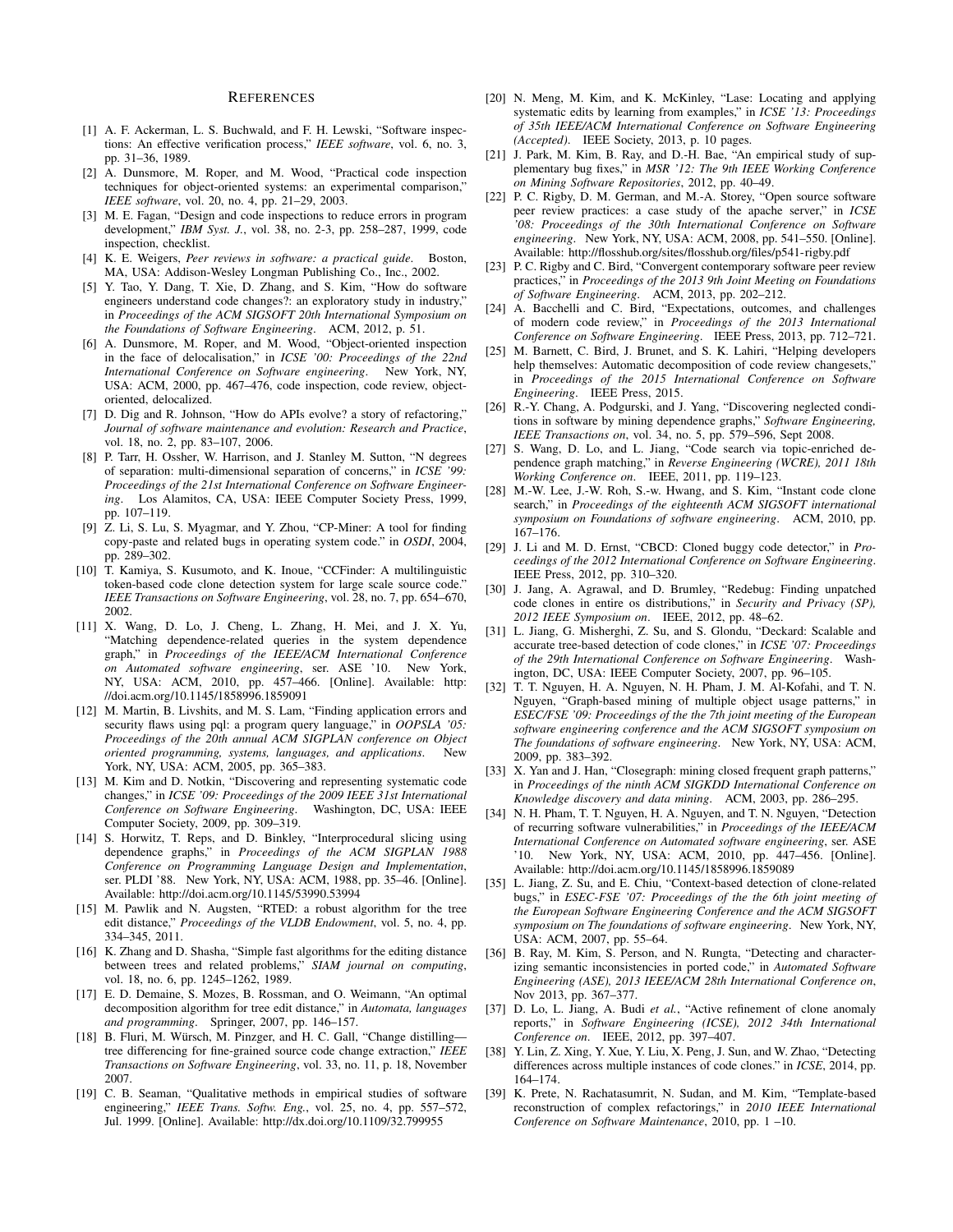#### **REFERENCES**

- [1] A. F. Ackerman, L. S. Buchwald, and F. H. Lewski, "Software inspections: An effective verification process," *IEEE software*, vol. 6, no. 3, pp. 31–36, 1989.
- [2] A. Dunsmore, M. Roper, and M. Wood, "Practical code inspection techniques for object-oriented systems: an experimental comparison," *IEEE software*, vol. 20, no. 4, pp. 21–29, 2003.
- [3] M. E. Fagan, "Design and code inspections to reduce errors in program development," *IBM Syst. J.*, vol. 38, no. 2-3, pp. 258–287, 1999, code inspection, checklist.
- [4] K. E. Weigers, *Peer reviews in software: a practical guide*. Boston, MA, USA: Addison-Wesley Longman Publishing Co., Inc., 2002.
- [5] Y. Tao, Y. Dang, T. Xie, D. Zhang, and S. Kim, "How do software engineers understand code changes?: an exploratory study in industry," in *Proceedings of the ACM SIGSOFT 20th International Symposium on the Foundations of Software Engineering*. ACM, 2012, p. 51.
- [6] A. Dunsmore, M. Roper, and M. Wood, "Object-oriented inspection in the face of delocalisation," in *ICSE '00: Proceedings of the 22nd International Conference on Software engineering*. New York, NY, USA: ACM, 2000, pp. 467–476, code inspection, code review, objectoriented, delocalized.
- [7] D. Dig and R. Johnson, "How do APIs evolve? a story of refactoring," *Journal of software maintenance and evolution: Research and Practice*, vol. 18, no. 2, pp. 83–107, 2006.
- [8] P. Tarr, H. Ossher, W. Harrison, and J. Stanley M. Sutton, "N degrees of separation: multi-dimensional separation of concerns," in *ICSE '99: Proceedings of the 21st International Conference on Software Engineering*. Los Alamitos, CA, USA: IEEE Computer Society Press, 1999, pp. 107–119.
- [9] Z. Li, S. Lu, S. Myagmar, and Y. Zhou, "CP-Miner: A tool for finding copy-paste and related bugs in operating system code." in *OSDI*, 2004, pp. 289–302.
- [10] T. Kamiya, S. Kusumoto, and K. Inoue, "CCFinder: A multilinguistic token-based code clone detection system for large scale source code." *IEEE Transactions on Software Engineering*, vol. 28, no. 7, pp. 654–670, 2002.
- [11] X. Wang, D. Lo, J. Cheng, L. Zhang, H. Mei, and J. X. Yu, "Matching dependence-related queries in the system dependence graph," in *Proceedings of the IEEE/ACM International Conference on Automated software engineering*, ser. ASE '10. New York, NY, USA: ACM, 2010, pp. 457–466. [Online]. Available: http: //doi.acm.org/10.1145/1858996.1859091
- [12] M. Martin, B. Livshits, and M. S. Lam, "Finding application errors and security flaws using pql: a program query language," in *OOPSLA '05: Proceedings of the 20th annual ACM SIGPLAN conference on Object oriented programming, systems, languages, and applications*. New York, NY, USA: ACM, 2005, pp. 365–383.
- [13] M. Kim and D. Notkin, "Discovering and representing systematic code changes," in *ICSE '09: Proceedings of the 2009 IEEE 31st International Conference on Software Engineering.* Computer Society, 2009, pp. 309–319.
- [14] S. Horwitz, T. Reps, and D. Binkley, "Interprocedural slicing using dependence graphs," in *Proceedings of the ACM SIGPLAN 1988 Conference on Programming Language Design and Implementation*, ser. PLDI '88. New York, NY, USA: ACM, 1988, pp. 35–46. [Online]. Available: http://doi.acm.org/10.1145/53990.53994
- [15] M. Pawlik and N. Augsten, "RTED: a robust algorithm for the tree edit distance," *Proceedings of the VLDB Endowment*, vol. 5, no. 4, pp. 334–345, 2011.
- [16] K. Zhang and D. Shasha, "Simple fast algorithms for the editing distance between trees and related problems," *SIAM journal on computing*, vol. 18, no. 6, pp. 1245–1262, 1989.
- [17] E. D. Demaine, S. Mozes, B. Rossman, and O. Weimann, "An optimal decomposition algorithm for tree edit distance," in *Automata, languages and programming*. Springer, 2007, pp. 146–157.
- [18] B. Fluri, M. Würsch, M. Pinzger, and H. C. Gall, "Change distillingtree differencing for fine-grained source code change extraction," *IEEE Transactions on Software Engineering*, vol. 33, no. 11, p. 18, November 2007.
- [19] C. B. Seaman, "Qualitative methods in empirical studies of software engineering," *IEEE Trans. Softw. Eng.*, vol. 25, no. 4, pp. 557–572, Jul. 1999. [Online]. Available: http://dx.doi.org/10.1109/32.799955
- [20] N. Meng, M. Kim, and K. McKinley, "Lase: Locating and applying systematic edits by learning from examples," in *ICSE '13: Proceedings of 35th IEEE/ACM International Conference on Software Engineering (Accepted)*. IEEE Society, 2013, p. 10 pages.
- [21] J. Park, M. Kim, B. Ray, and D.-H. Bae, "An empirical study of supplementary bug fixes," in *MSR '12: The 9th IEEE Working Conference on Mining Software Repositories*, 2012, pp. 40–49.
- [22] P. C. Rigby, D. M. German, and M.-A. Storey, "Open source software peer review practices: a case study of the apache server," in *ICSE '08: Proceedings of the 30th International Conference on Software engineering*. New York, NY, USA: ACM, 2008, pp. 541–550. [Online]. Available: http://flosshub.org/sites/flosshub.org/files/p541-rigby.pdf
- [23] P. C. Rigby and C. Bird, "Convergent contemporary software peer review practices," in *Proceedings of the 2013 9th Joint Meeting on Foundations of Software Engineering*. ACM, 2013, pp. 202–212.
- [24] A. Bacchelli and C. Bird, "Expectations, outcomes, and challenges of modern code review," in *Proceedings of the 2013 International Conference on Software Engineering*. IEEE Press, 2013, pp. 712–721.
- [25] M. Barnett, C. Bird, J. Brunet, and S. K. Lahiri, "Helping developers help themselves: Automatic decomposition of code review changesets," in *Proceedings of the 2015 International Conference on Software Engineering*. IEEE Press, 2015.
- [26] R.-Y. Chang, A. Podgurski, and J. Yang, "Discovering neglected conditions in software by mining dependence graphs," *Software Engineering, IEEE Transactions on*, vol. 34, no. 5, pp. 579–596, Sept 2008.
- [27] S. Wang, D. Lo, and L. Jiang, "Code search via topic-enriched dependence graph matching," in *Reverse Engineering (WCRE), 2011 18th Working Conference on*. IEEE, 2011, pp. 119–123.
- [28] M.-W. Lee, J.-W. Roh, S.-w. Hwang, and S. Kim, "Instant code clone search," in *Proceedings of the eighteenth ACM SIGSOFT international symposium on Foundations of software engineering*. ACM, 2010, pp. 167–176.
- [29] J. Li and M. D. Ernst, "CBCD: Cloned buggy code detector," in *Proceedings of the 2012 International Conference on Software Engineering*. IEEE Press, 2012, pp. 310–320.
- [30] J. Jang, A. Agrawal, and D. Brumley, "Redebug: Finding unpatched code clones in entire os distributions," in *Security and Privacy (SP), 2012 IEEE Symposium on*. IEEE, 2012, pp. 48–62.
- [31] L. Jiang, G. Misherghi, Z. Su, and S. Glondu, "Deckard: Scalable and accurate tree-based detection of code clones," in *ICSE '07: Proceedings of the 29th International Conference on Software Engineering*. Washington, DC, USA: IEEE Computer Society, 2007, pp. 96–105.
- [32] T. T. Nguyen, H. A. Nguyen, N. H. Pham, J. M. Al-Kofahi, and T. N. Nguyen, "Graph-based mining of multiple object usage patterns," in *ESEC/FSE '09: Proceedings of the the 7th joint meeting of the European software engineering conference and the ACM SIGSOFT symposium on The foundations of software engineering*. New York, NY, USA: ACM, 2009, pp. 383–392.
- [33] X. Yan and J. Han, "Closegraph: mining closed frequent graph patterns," in *Proceedings of the ninth ACM SIGKDD International Conference on Knowledge discovery and data mining*. ACM, 2003, pp. 286–295.
- [34] N. H. Pham, T. T. Nguyen, H. A. Nguyen, and T. N. Nguyen, "Detection of recurring software vulnerabilities," in *Proceedings of the IEEE/ACM International Conference on Automated software engineering*, ser. ASE '10. New York, NY, USA: ACM, 2010, pp. 447–456. [Online]. Available: http://doi.acm.org/10.1145/1858996.1859089
- [35] L. Jiang, Z. Su, and E. Chiu, "Context-based detection of clone-related bugs," in *ESEC-FSE '07: Proceedings of the the 6th joint meeting of the European Software Engineering Conference and the ACM SIGSOFT symposium on The foundations of software engineering*. New York, NY, USA: ACM, 2007, pp. 55–64.
- [36] B. Ray, M. Kim, S. Person, and N. Rungta, "Detecting and characterizing semantic inconsistencies in ported code," in *Automated Software Engineering (ASE), 2013 IEEE/ACM 28th International Conference on*, Nov 2013, pp. 367–377.
- [37] D. Lo, L. Jiang, A. Budi *et al.*, "Active refinement of clone anomaly reports," in *Software Engineering (ICSE), 2012 34th International Conference on*. IEEE, 2012, pp. 397–407.
- [38] Y. Lin, Z. Xing, Y. Xue, Y. Liu, X. Peng, J. Sun, and W. Zhao, "Detecting differences across multiple instances of code clones." in *ICSE*, 2014, pp. 164–174.
- [39] K. Prete, N. Rachatasumrit, N. Sudan, and M. Kim, "Template-based reconstruction of complex refactorings," in *2010 IEEE International Conference on Software Maintenance*, 2010, pp. 1 –10.